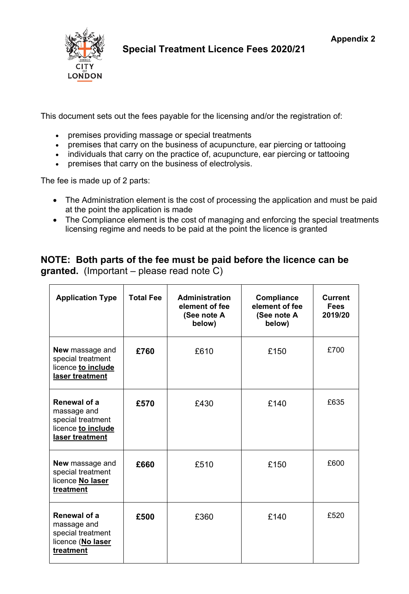

**Special Treatment Licence Fees 2020/21**

This document sets out the fees payable for the licensing and/or the registration of:

- premises providing massage or special treatments
- premises that carry on the business of acupuncture, ear piercing or tattooing
- individuals that carry on the practice of, acupuncture, ear piercing or tattooing
- premises that carry on the business of electrolysis.

The fee is made up of 2 parts:

- The Administration element is the cost of processing the application and must be paid at the point the application is made
- The Compliance element is the cost of managing and enforcing the special treatments licensing regime and needs to be paid at the point the licence is granted

## **NOTE: Both parts of the fee must be paid before the licence can be granted.** (Important – please read note C)

| <b>Application Type</b>                                                                   | <b>Total Fee</b> | <b>Administration</b><br>element of fee<br>(See note A<br>below) | Compliance<br>element of fee<br>(See note A<br>below) | <b>Current</b><br><b>Fees</b><br>2019/20 |
|-------------------------------------------------------------------------------------------|------------------|------------------------------------------------------------------|-------------------------------------------------------|------------------------------------------|
| New massage and<br>special treatment<br>licence to include<br>laser treatment             | £760             | £610                                                             | £150                                                  | £700                                     |
| Renewal of a<br>massage and<br>special treatment<br>licence to include<br>laser treatment | £570             | £430                                                             | £140                                                  | £635                                     |
| <b>New massage and</b><br>special treatment<br>licence No laser<br>treatment              | £660             | £510                                                             | £150                                                  | £600                                     |
| Renewal of a<br>massage and<br>special treatment<br>licence (No laser<br>treatment        | £500             | £360                                                             | £140                                                  | £520                                     |